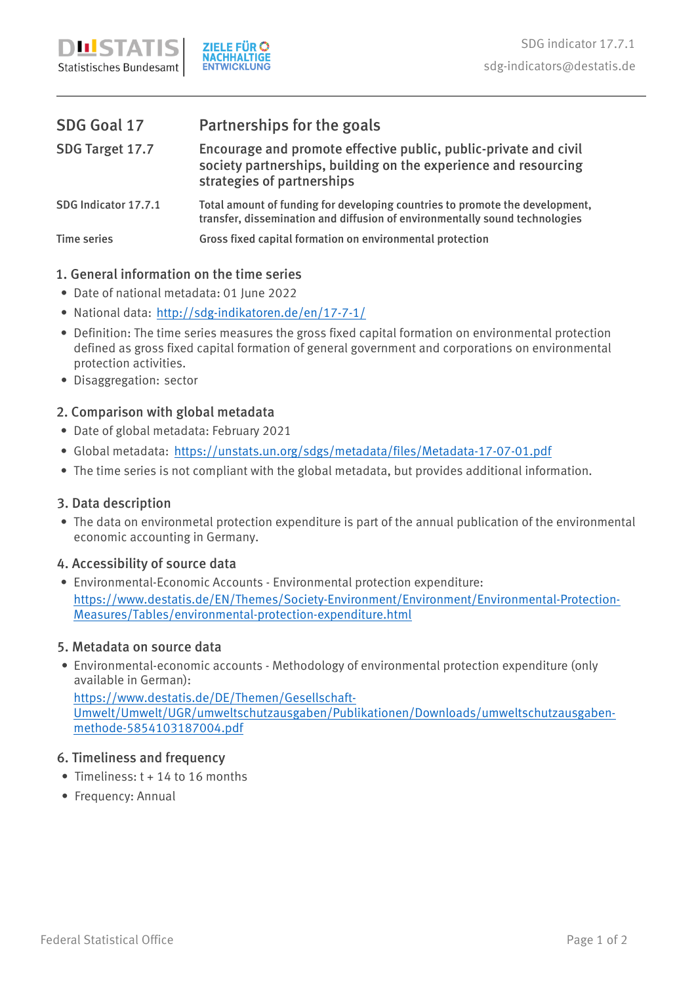| SDG Goal 17          | Partnerships for the goals                                                                                                                                        |
|----------------------|-------------------------------------------------------------------------------------------------------------------------------------------------------------------|
| SDG Target 17.7      | Encourage and promote effective public, public-private and civil<br>society partnerships, building on the experience and resourcing<br>strategies of partnerships |
| SDG Indicator 17.7.1 | Total amount of funding for developing countries to promote the development,<br>transfer, dissemination and diffusion of environmentally sound technologies       |
| <b>Time series</b>   | Gross fixed capital formation on environmental protection                                                                                                         |

## **1. General information on the time series**

- Date of national metadata: 01 June 2022 •
- National data: <u>http://sdg-indikatoren.de/en/17-7-1/</u>
- Definition: The time series measures the gross fixed capital formation on environmental protection defined as gross fixed capital formation of general government and corporations on environmental protection activities.
- Disaggregation: sector

# **2. Comparison with global metadata**

- Date of global metadata: February 2021 •
- Global metadata: https://unstats.un.org/sdgs/metadata/files/Metadata-17-07-01.pdf
- The time series is not compliant with the global metadata, but provides additional information.

### **3. Data description**

• The data on environmetal protection expenditure is part of the annual publication of the environmental economic accounting in Germany.

# **4. Accessibility of source data**

https://www.destatis.de/EN/Themes/Society-Environment/Environment/Environmental-Protection-Measures/Tables/environmental-protection-expenditure.html • Environmental-Economic Accounts - Environmental protection expenditure:

### **5. Metadata on source data**

• Environmental-economic accounts - Methodology of environmental protection expenditure (only available in German):

https://www.destatis.de/DE/Themen/Gesellschaft-Umwelt/Umwelt/UGR/umweltschutzausgaben/Publikationen/Downloads/umweltschutzausgabenmethode-5854103187004.pdf

### **6. Timeliness and frequency**

- Timeliness: t + 14 to 16 months
- Frequency: Annual